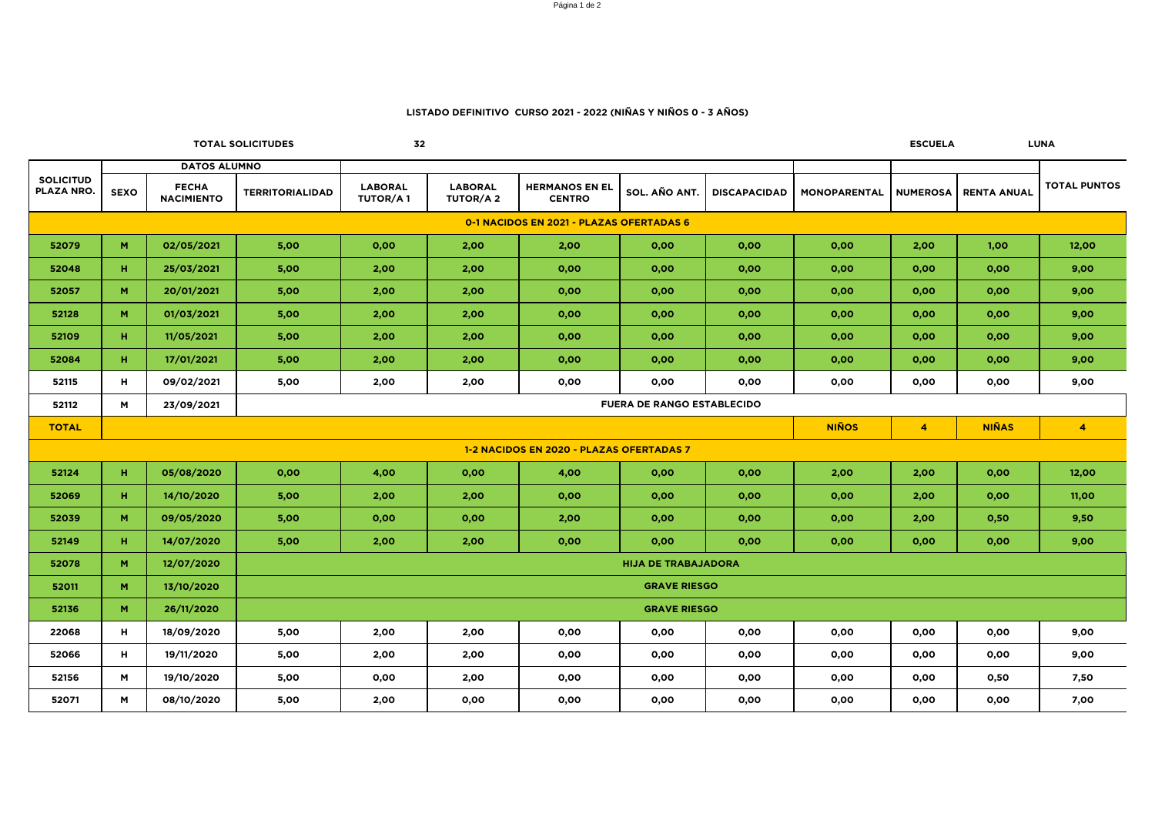| CUI<br>EL<br>รแ<br>., |  |
|-----------------------|--|
|-----------------------|--|

| <b>TOTAL SOLICITUDES</b><br>32           |             |                                   |                            |                                   |                                   |                                        |                                   |                     |              | <b>ESCUELA</b>          |                    | <b>LUNA</b>         |
|------------------------------------------|-------------|-----------------------------------|----------------------------|-----------------------------------|-----------------------------------|----------------------------------------|-----------------------------------|---------------------|--------------|-------------------------|--------------------|---------------------|
|                                          |             | <b>DATOS ALUMNO</b>               |                            |                                   |                                   |                                        |                                   |                     |              |                         |                    |                     |
| <b>SOLICITUD</b><br>PLAZA NRO.           | <b>SEXO</b> | <b>FECHA</b><br><b>NACIMIENTO</b> | <b>TERRITORIALIDAD</b>     | <b>LABORAL</b><br><b>TUTOR/A1</b> | <b>LABORAL</b><br><b>TUTOR/A2</b> | <b>HERMANOS EN EL</b><br><b>CENTRO</b> | SOL. AÑO ANT.                     | <b>DISCAPACIDAD</b> | MONOPARENTAL | <b>NUMEROSA</b>         | <b>RENTA ANUAL</b> | <b>TOTAL PUNTOS</b> |
| 0-1 NACIDOS EN 2021 - PLAZAS OFERTADAS 6 |             |                                   |                            |                                   |                                   |                                        |                                   |                     |              |                         |                    |                     |
| 52079                                    | M           | 02/05/2021                        | 5,00                       | 0,00                              | 2,00                              | 2,00                                   | 0,00                              | 0,00                | 0,00         | 2,00                    | 1,00               | 12,00               |
| 52048                                    | H           | 25/03/2021                        | 5,00                       | 2,00                              | 2,00                              | 0,00                                   | 0,00                              | 0,00                | 0,00         | 0,00                    | 0,00               | 9,00                |
| 52057                                    | M           | 20/01/2021                        | 5,00                       | 2,00                              | 2,00                              | 0,00                                   | 0,00                              | 0,00                | 0,00         | 0,00                    | 0,00               | 9,00                |
| 52128                                    | M           | 01/03/2021                        | 5,00                       | 2,00                              | 2,00                              | 0,00                                   | 0,00                              | 0,00                | 0,00         | 0,00                    | 0,00               | 9,00                |
| 52109                                    | H           | 11/05/2021                        | 5,00                       | 2,00                              | 2,00                              | 0,00                                   | 0,00                              | 0,00                | 0,00         | 0,00                    | 0,00               | 9,00                |
| 52084                                    | H           | 17/01/2021                        | 5,00                       | 2,00                              | 2,00                              | 0,00                                   | 0,00                              | 0,00                | 0,00         | 0,00                    | 0,00               | 9,00                |
| 52115                                    | H           | 09/02/2021                        | 5,00                       | 2,00                              | 2,00                              | 0,00                                   | 0,00                              | 0,00                | 0,00         | 0,00                    | 0,00               | 9,00                |
| 52112                                    | M           | 23/09/2021                        |                            |                                   |                                   |                                        | <b>FUERA DE RANGO ESTABLECIDO</b> |                     |              |                         |                    |                     |
| <b>TOTAL</b>                             |             |                                   |                            |                                   |                                   |                                        |                                   |                     | <b>NIÑOS</b> | $\overline{\mathbf{4}}$ | <b>NIÑAS</b>       | $\overline{4}$      |
| 1-2 NACIDOS EN 2020 - PLAZAS OFERTADAS 7 |             |                                   |                            |                                   |                                   |                                        |                                   |                     |              |                         |                    |                     |
| 52124                                    | н.          | 05/08/2020                        | 0,00                       | 4,00                              | 0,00                              | 4,00                                   | 0,00                              | 0,00                | 2,00         | 2,00                    | 0,00               | 12,00               |
| 52069                                    | H           | 14/10/2020                        | 5,00                       | 2,00                              | 2,00                              | 0,00                                   | 0,00                              | 0,00                | 0,00         | 2,00                    | 0,00               | 11,00               |
| 52039                                    | M           | 09/05/2020                        | 5,00                       | 0,00                              | 0,00                              | 2,00                                   | 0,00                              | 0,00                | 0,00         | 2,00                    | 0,50               | 9,50                |
| 52149                                    | H.          | 14/07/2020                        | 5,00                       | 2,00                              | 2,00                              | 0,00                                   | 0,00                              | 0,00                | 0,00         | 0,00                    | 0,00               | 9,00                |
| 52078                                    | M           | 12/07/2020                        | <b>HIJA DE TRABAJADORA</b> |                                   |                                   |                                        |                                   |                     |              |                         |                    |                     |
| 52011                                    | M           | 13/10/2020                        | <b>GRAVE RIESGO</b>        |                                   |                                   |                                        |                                   |                     |              |                         |                    |                     |
| 52136                                    | M           | 26/11/2020                        | <b>GRAVE RIESGO</b>        |                                   |                                   |                                        |                                   |                     |              |                         |                    |                     |
| 22068                                    | H           | 18/09/2020                        | 5,00                       | 2,00                              | 2,00                              | 0,00                                   | 0,00                              | 0,00                | 0,00         | 0,00                    | 0,00               | 9,00                |
| 52066                                    | H           | 19/11/2020                        | 5,00                       | 2,00                              | 2,00                              | 0,00                                   | 0,00                              | 0,00                | 0,00         | 0,00                    | 0,00               | 9,00                |
| 52156                                    | M           | 19/10/2020                        | 5,00                       | 0,00                              | 2,00                              | 0,00                                   | 0,00                              | 0,00                | 0,00         | 0,00                    | 0,50               | 7,50                |
| 52071                                    | M           | 08/10/2020                        | 5,00                       | 2,00                              | 0,00                              | 0,00                                   | 0,00                              | 0,00                | 0,00         | 0,00                    | 0,00               | 7,00                |

# **LISTADO DEFINITIVO CURSO 2021 - 2022 (NIÑAS Y NIÑOS 0 - 3 AÑOS)**